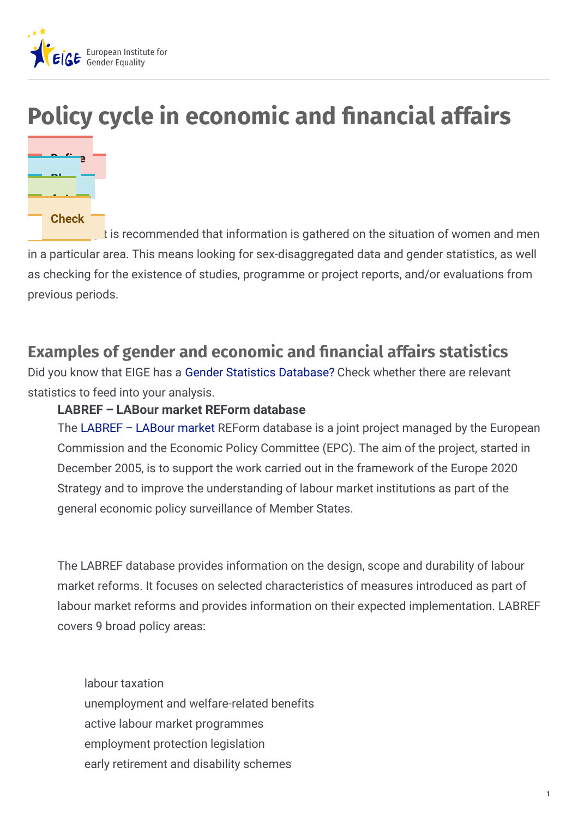

# **Policy cycle in economic and nancial affairs**



It is recommended that information is gathered on the situation of women and men in a particular area. This means looking for sex-disaggregated data and gender statistics, as well as checking for the existence of studies, programme or project reports, and/or evaluations from previous periods.

## **Examples of gender and economic and nancial affairs statistics**

Did you know that EIGE has a Gender Statistics [Database?](http://eige.europa.eu/gender-statistics/dgs) Check whether there are relevant statistics to feed into your analysis.

#### **LABREF – LABour market REForm database**

The [LABREF](https://webgate.ec.europa.eu/labref/public/) – LABour market REForm database is a joint project managed by the European Commission and the Economic Policy Committee (EPC). The aim of the project, started in December 2005, is to support the work carried out in the framework of the Europe 2020 Strategy and to improve the understanding of labour market institutions as part of the general economic policy surveillance of Member States.

The LABREF database provides information on the design, scope and durability of labour market reforms. It focuses on selected characteristics of measures introduced as part of labour market reforms and provides information on their expected implementation. LABREF covers 9 broad policy areas:

labour taxation unemployment and welfare-related benefits active labour market programmes employment protection legislation early retirement and disability schemes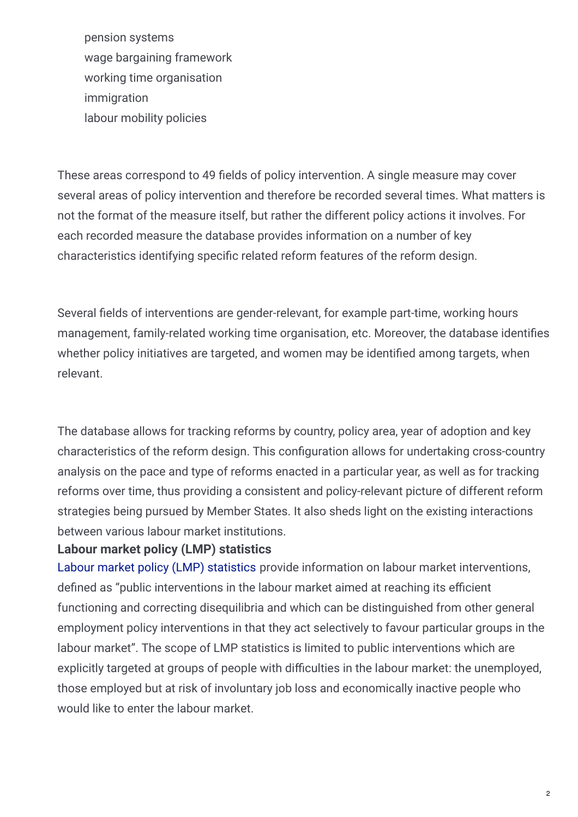pension systems wage bargaining framework working time organisation immigration labour mobility policies

These areas correspond to 49 fields of policy intervention. A single measure may cover several areas of policy intervention and therefore be recorded several times. What matters is not the format of the measure itself, but rather the different policy actions it involves. For each recorded measure the database provides information on a number of key characteristics identifying specific related reform features of the reform design.

Several fields of interventions are gender-relevant, for example part-time, working hours management, family-related working time organisation, etc. Moreover, the database identifies whether policy initiatives are targeted, and women may be identified among targets, when relevant.

The database allows for tracking reforms by country, policy area, year of adoption and key characteristics of the reform design. This configuration allows for undertaking cross-country analysis on the pace and type of reforms enacted in a particular year, as well as for tracking reforms over time, thus providing a consistent and policy-relevant picture of different reform strategies being pursued by Member States. It also sheds light on the existing interactions between various labour market institutions.

#### **Labour market policy (LMP) statistics**

Labour market policy (LMP) [statistics](https://ec.europa.eu/social/main.jsp?catId=1143&intPageId=3227&langId=en) provide information on labour market interventions, defined as "public interventions in the labour market aimed at reaching its efficient functioning and correcting disequilibria and which can be distinguished from other general employment policy interventions in that they act selectively to favour particular groups in the labour market". The scope of LMP statistics is limited to public interventions which are explicitly targeted at groups of people with difficulties in the labour market: the unemployed, those employed but at risk of involuntary job loss and economically inactive people who would like to enter the labour market.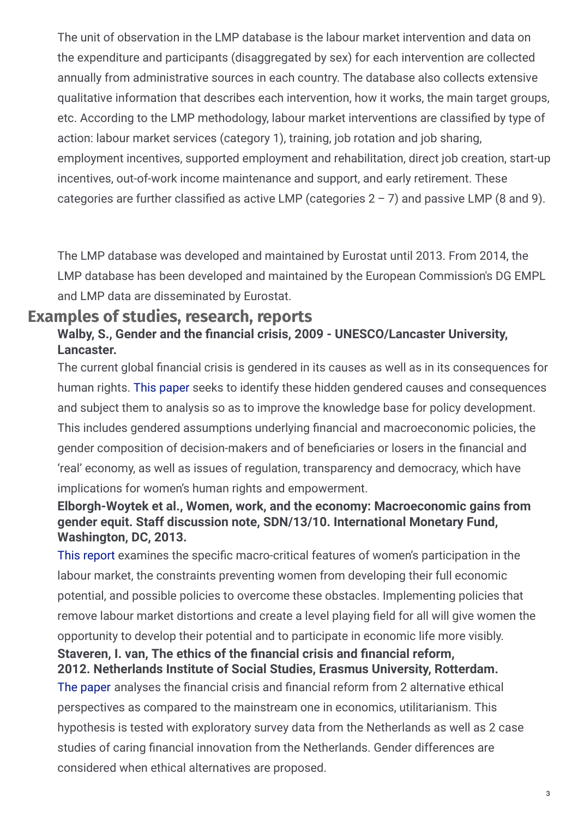The unit of observation in the LMP database is the labour market intervention and data on the expenditure and participants (disaggregated by sex) for each intervention are collected annually from administrative sources in each country. The database also collects extensive qualitative information that describes each intervention, how it works, the main target groups, etc. According to the LMP methodology, labour market interventions are classified by type of action: labour market services (category 1), training, job rotation and job sharing, employment incentives, supported employment and rehabilitation, direct job creation, start-up incentives, out-of-work income maintenance and support, and early retirement. These categories are further classified as active LMP (categories  $2 - 7$ ) and passive LMP (8 and 9).

The LMP database was developed and maintained by Eurostat until 2013. From 2014, the LMP database has been developed and maintained by the European Commission's DG EMPL and LMP data are disseminated by Eurostat.

### **Examples of studies, research, reports**

#### **Walby, S., Gender and the (nancial crisis, 2009 - UNESCO/Lancaster University, Lancaster.**

The current global financial crisis is gendered in its causes as well as in its consequences for human rights. This [paper](http://www.lancaster.ac.uk/fass/doc_library/sociology/Gender_and_financial_crisis_Sylvia_Walby.pdf) seeks to identify these hidden gendered causes and consequences and subject them to analysis so as to improve the knowledge base for policy development. This includes gendered assumptions underlying financial and macroeconomic policies, the gender composition of decision-makers and of beneficiaries or losers in the financial and 'real' economy, as well as issues of regulation, transparency and democracy, which have implications for women's human rights and empowerment.

#### **Elborgh-Woytek et al., Women, work, and the economy: Macroeconomic gains from gender equit. Staff discussion note, SDN/13/10. International Monetary Fund, Washington, DC, 2013.**

This [report](http://www.imf.org/external/pubs/ft/sdn/2013/sdn1310.pdf) examines the specific macro-critical features of women's participation in the labour market, the constraints preventing women from developing their full economic potential, and possible policies to overcome these obstacles. Implementing policies that remove labour market distortions and create a level playing field for all will give women the opportunity to develop their potential and to participate in economic life more visibly. **Staveren, I. van, The ethics of the (nancial crisis and (nancial reform,**

#### **2012. Netherlands Institute of Social Studies, Erasmus University, Rotterdam.**

The [paper](https://repub.eur.nl/pub/38417/) analyses the financial crisis and financial reform from 2 alternative ethical perspectives as compared to the mainstream one in economics, utilitarianism. This hypothesis is tested with exploratory survey data from the Netherlands as well as 2 case studies of caring financial innovation from the Netherlands. Gender differences are considered when ethical alternatives are proposed.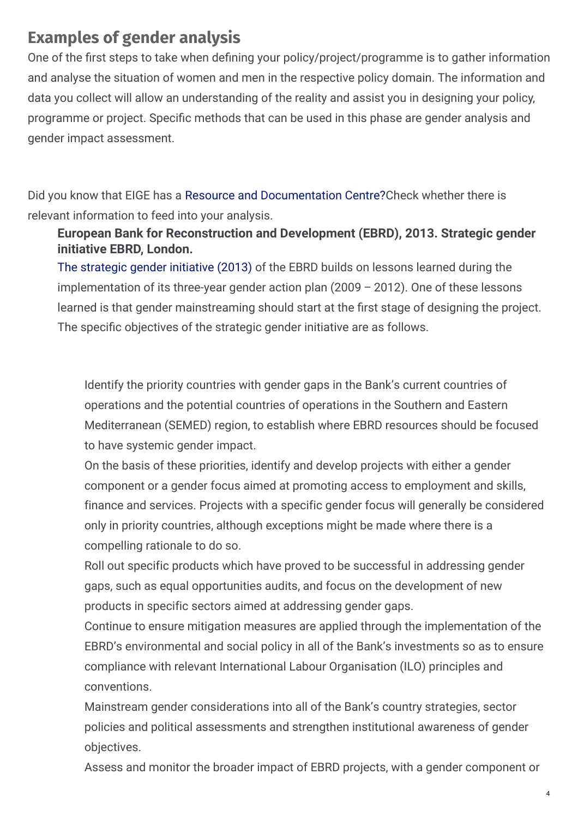### **Examples of gender analysis**

One of the first steps to take when defining your policy/project/programme is to gather information and analyse the situation of women and men in the respective policy domain. The information and data you collect will allow an understanding of the reality and assist you in designing your policy, programme or project. Specific methods that can be used in this phase are gender analysis and gender impact assessment.

Did you know that EIGE has a Resource and [Documentation](http://eige.europa.eu/rdc) Centre?Check whether there is relevant information to feed into your analysis.

#### **European Bank for Reconstruction and Development (EBRD), 2013. Strategic gender initiative EBRD, London.**

The [strategic](http://www.ebrd.com/downloads/sector/gender/strategic-gender-initiative.pdf) gender initiative (2013) of the EBRD builds on lessons learned during the implementation of its three-year gender action plan (2009 – 2012). One of these lessons learned is that gender mainstreaming should start at the first stage of designing the project. The specific objectives of the strategic gender initiative are as follows.

Identify the priority countries with gender gaps in the Bank's current countries of operations and the potential countries of operations in the Southern and Eastern Mediterranean (SEMED) region, to establish where EBRD resources should be focused to have systemic gender impact.

On the basis of these priorities, identify and develop projects with either a gender component or a gender focus aimed at promoting access to employment and skills, finance and services. Projects with a specific gender focus will generally be considered only in priority countries, although exceptions might be made where there is a compelling rationale to do so.

Roll out specific products which have proved to be successful in addressing gender gaps, such as equal opportunities audits, and focus on the development of new products in specific sectors aimed at addressing gender gaps.

Continue to ensure mitigation measures are applied through the implementation of the EBRD's environmental and social policy in all of the Bank's investments so as to ensure compliance with relevant International Labour Organisation (ILO) principles and conventions.

Mainstream gender considerations into all of the Bank's country strategies, sector policies and political assessments and strengthen institutional awareness of gender objectives.

Assess and monitor the broader impact of EBRD projects, with a gender component or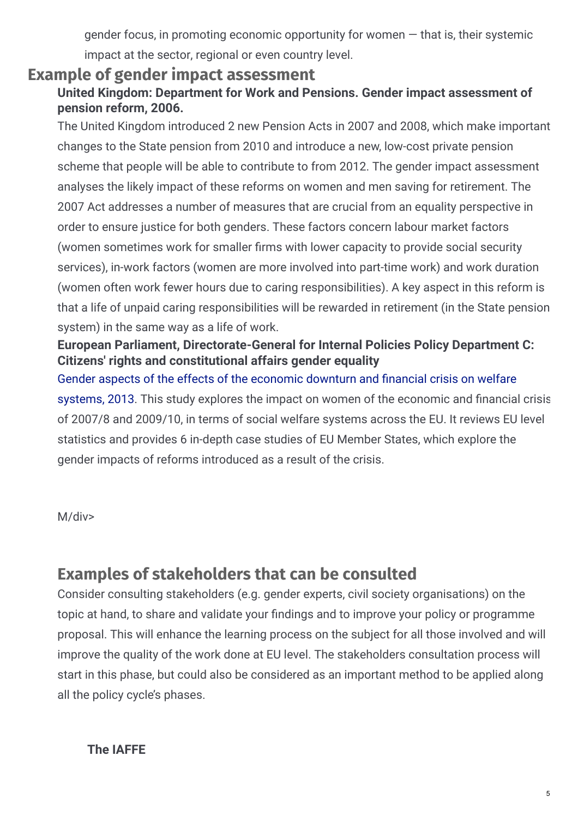gender focus, in promoting economic opportunity for women  $-$  that is, their systemic impact at the sector, regional or even country level.

### **Example of gender impact assessment**

#### **United Kingdom: Department for Work and Pensions. Gender impact assessment of pension reform, 2006.**

The United Kingdom introduced 2 new Pension Acts in 2007 and 2008, which make important changes to the State pension from 2010 and introduce a new, low-cost private pension scheme that people will be able to contribute to from 2012. The gender impact assessment analyses the likely impact of these reforms on women and men saving for retirement. The 2007 Act addresses a number of measures that are crucial from an equality perspective in order to ensure justice for both genders. These factors concern labour market factors (women sometimes work for smaller firms with lower capacity to provide social security services), in-work factors (women are more involved into part-time work) and work duration (women often work fewer hours due to caring responsibilities). A key aspect in this reform is that a life of unpaid caring responsibilities will be rewarded in retirement (in the State pension system) in the same way as a life of work.

#### **European Parliament, Directorate-General for Internal Policies Policy Department C: Citizens' rights and constitutional affairs gender equality**

Gender aspects of the effects of the [economic](http://www.europarl.europa.eu/RegData/etudes/etudes/join/2013/474396/IPOL-FEMM_ET%282013%29474396_EN.pdf) downturn and financial crisis on welfare systems, 2013. This study explores the impact on women of the economic and financial crisis of 2007/8 and 2009/10, in terms of social welfare systems across the EU. It reviews EU level statistics and provides 6 in-depth case studies of EU Member States, which explore the gender impacts of reforms introduced as a result of the crisis.

M/div>

### **Examples of stakeholders that can be consulted**

Consider consulting stakeholders (e.g. gender experts, civil society organisations) on the topic at hand, to share and validate your findings and to improve your policy or programme proposal. This will enhance the learning process on the subject for all those involved and will improve the quality of the work done at EU level. The stakeholders consultation process will start in this phase, but could also be considered as an important method to be applied along all the policy cycle's phases.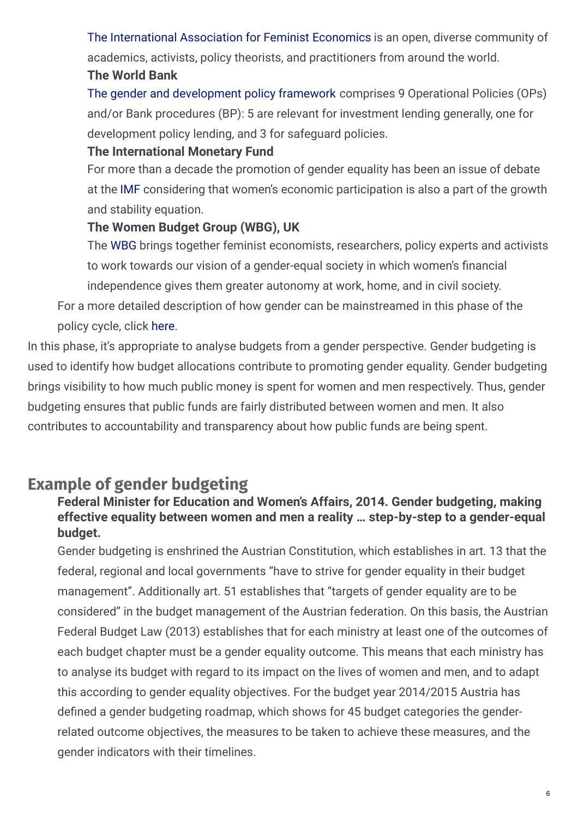The [International](http://www.iaffe.org/) Association for Feminist Economics is an open, diverse community of academics, activists, policy theorists, and practitioners from around the world.

#### **The World Bank**

The gender and [development](http://www.worldbank.org/en/topic/gender) policy framework comprises 9 Operational Policies (OPs) and/or Bank procedures (BP): 5 are relevant for investment lending generally, one for development policy lending, and 3 for safeguard policies.

#### **The International Monetary Fund**

For more than a decade the promotion of gender equality has been an issue of debate at the [IMF](http://www.imf.org/external/np/gender/) considering that women's economic participation is also a part of the growth and stability equation.

#### **The Women Budget Group (WBG), UK**

The [WBG](http://wbg.org.uk/) brings together feminist economists, researchers, policy experts and activists to work towards our vision of a gender-equal society in which women's financial independence gives them greater autonomy at work, home, and in civil society.

For a more detailed description of how gender can be mainstreamed in this phase of the policy cycle, click [here](http://eige.europa.eu/gender-mainstreaming/what-is-gender-mainstreaming).

In this phase, it's appropriate to analyse budgets from a gender perspective. Gender budgeting is used to identify how budget allocations contribute to promoting gender equality. Gender budgeting brings visibility to how much public money is spent for women and men respectively. Thus, gender budgeting ensures that public funds are fairly distributed between women and men. It also contributes to accountability and transparency about how public funds are being spent.

# **Example of gender budgeting**

#### **Federal Minister for Education and Women's Affairs, 2014. Gender budgeting, making effective equality between women and men a reality … step-by-step to a gender-equal budget.**

Gender budgeting is enshrined the Austrian Constitution, which establishes in art. 13 that the federal, regional and local governments "have to strive for gender equality in their budget management". Additionally art. 51 establishes that "targets of gender equality are to be considered" in the budget management of the Austrian federation. On this basis, the Austrian Federal Budget Law (2013) establishes that for each ministry at least one of the outcomes of each budget chapter must be a gender equality outcome. This means that each ministry has to analyse its budget with regard to its impact on the lives of women and men, and to adapt this according to gender equality objectives. For the budget year 2014/2015 Austria has defined a gender budgeting roadmap, which shows for 45 budget categories the genderrelated outcome objectives, the measures to be taken to achieve these measures, and the gender indicators with their timelines.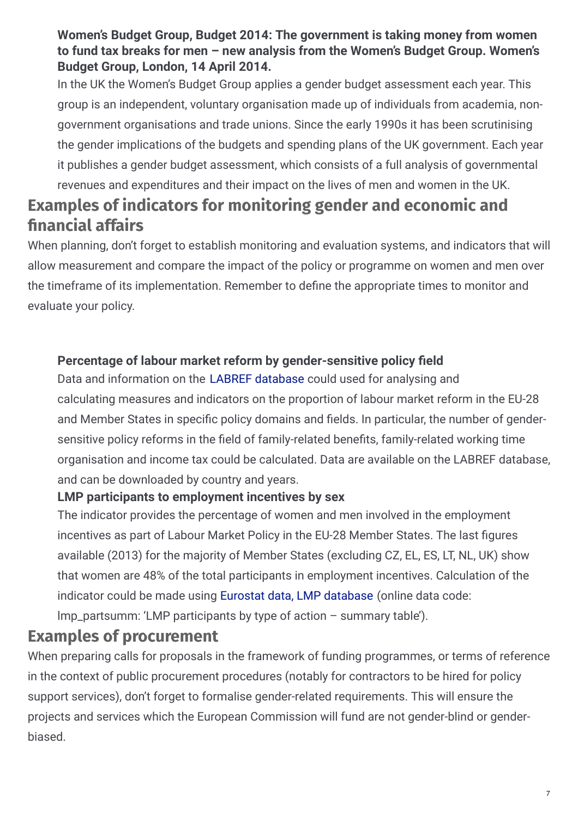#### **Women's Budget Group, Budget 2014: The government is taking money from women to fund tax breaks for men – new analysis from the Women's Budget Group. Women's Budget Group, London, 14 April 2014.**

In the UK the Women's Budget Group applies a gender budget assessment each year. This group is an independent, voluntary organisation made up of individuals from academia, nongovernment organisations and trade unions. Since the early 1990s it has been scrutinising the gender implications of the budgets and spending plans of the UK government. Each year it publishes a gender budget assessment, which consists of a full analysis of governmental revenues and expenditures and their impact on the lives of men and women in the UK.

# **Examples of indicators for monitoring gender and economic and nancial affairs**

When planning, don't forget to establish monitoring and evaluation systems, and indicators that will allow measurement and compare the impact of the policy or programme on women and men over the timeframe of its implementation. Remember to define the appropriate times to monitor and evaluate your policy.

#### **Percentage of labour market reform by gender-sensitive policy (eld**

Data and information on the LABREF [database](https://webgate.ec.europa.eu/labref/public/) could used for analysing and calculating measures and indicators on the proportion of labour market reform in the EU-28 and Member States in specific policy domains and fields. In particular, the number of gendersensitive policy reforms in the field of family-related benefits, family-related working time organisation and income tax could be calculated. Data are available on the LABREF database, and can be downloaded by country and years.

#### **LMP participants to employment incentives by sex**

The indicator provides the percentage of women and men involved in the employment incentives as part of Labour Market Policy in the EU-28 Member States. The last figures available (2013) for the majority of Member States (excluding CZ, EL, ES, LT, NL, UK) show that women are 48% of the total participants in employment incentives. Calculation of the indicator could be made using Eurostat data, LMP [database](http://ec.europa.eu/eurostat/data/database?node_code=lmp_partsumm) (online data code: lmp\_partsumm: 'LMP participants by type of action – summary table').

### **Examples of procurement**

When preparing calls for proposals in the framework of funding programmes, or terms of reference in the context of public procurement procedures (notably for contractors to be hired for policy support services), don't forget to formalise gender-related requirements. This will ensure the projects and services which the European Commission will fund are not gender-blind or genderbiased.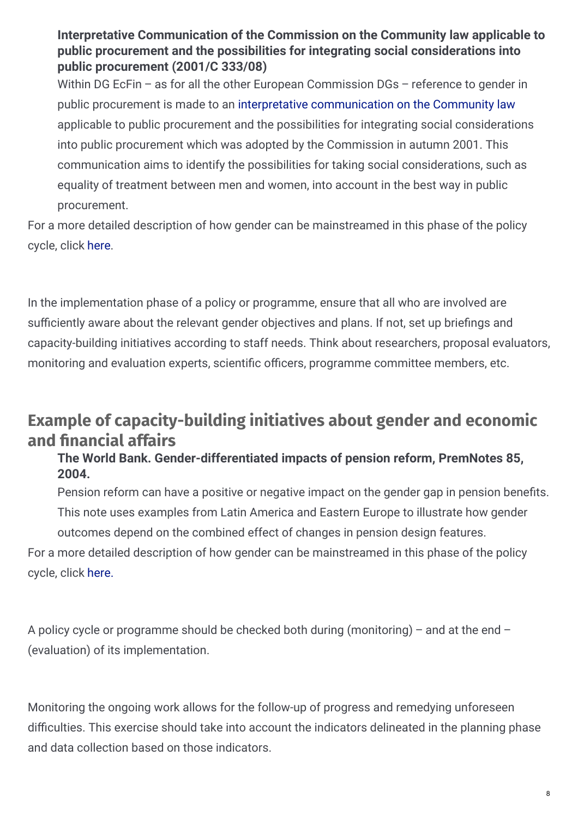**Interpretative Communication of the Commission on the Community law applicable to public procurement and the possibilities for integrating social considerations into public procurement (2001/C 333/08)**

Within DG EcFin – as for all the other European Commission DGs – reference to gender in public procurement is made to an interpretative [communication](https://www.bipsolutions.com/pdf/com274en.pdf) on the Community law applicable to public procurement and the possibilities for integrating social considerations into public procurement which was adopted by the Commission in autumn 2001. This communication aims to identify the possibilities for taking social considerations, such as equality of treatment between men and women, into account in the best way in public procurement.

For a more detailed description of how gender can be mainstreamed in this phase of the policy cycle, click [here](http://eige.europa.eu/gender-mainstreaming/what-is-gender-mainstreaming).

In the implementation phase of a policy or programme, ensure that all who are involved are sufficiently aware about the relevant gender objectives and plans. If not, set up briefings and capacity-building initiatives according to staff needs. Think about researchers, proposal evaluators, monitoring and evaluation experts, scientific officers, programme committee members, etc.

### **Example of capacity-building initiatives about gender and economic and nancial affairs**

#### **The World Bank. Gender-differentiated impacts of pension reform, PremNotes 85, 2004.**

Pension reform can have a positive or negative impact on the gender gap in pension benefits. This note uses examples from Latin America and Eastern Europe to illustrate how gender outcomes depend on the combined effect of changes in pension design features. For a more detailed description of how gender can be mainstreamed in this phase of the policy cycle, click [here.](http://eige.europa.eu/gender-mainstreaming/what-is-gender-mainstreaming)

A policy cycle or programme should be checked both during (monitoring) – and at the end – (evaluation) of its implementation.

Monitoring the ongoing work allows for the follow-up of progress and remedying unforeseen difficulties. This exercise should take into account the indicators delineated in the planning phase and data collection based on those indicators.